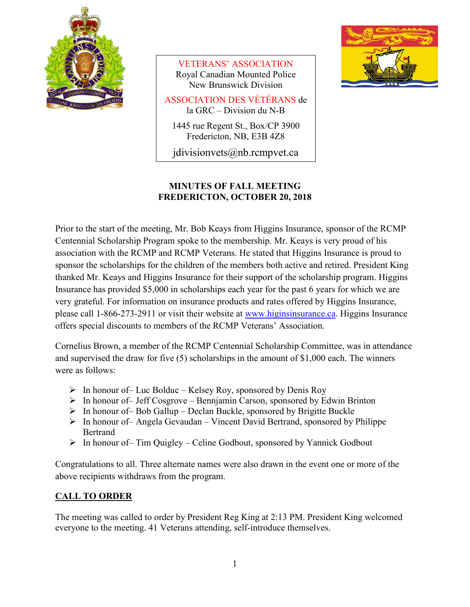

VETERANS' ASSOCIATION Royal Canadian Mounted Police New Brunswick Division

ASSOCIATION DES VÉTÉRANS de la GRC – Division du N-B

1445 rue Regent St., Box/CP 3900 Fredericton, NB, E3B 4Z8

jdivisionvets@nb.rcmpvet.ca



# **MINUTES OF FALL MEETING FREDERICTON, OCTOBER 20, 2018**

Prior to the start of the meeting, Mr. Bob Keays from Higgins Insurance, sponsor of the RCMP Centennial Scholarship Program spoke to the membership. Mr. Keays is very proud of his association with the RCMP and RCMP Veterans. He stated that Higgins Insurance is proud to sponsor the scholarships for the children of the members both active and retired. President King thanked Mr. Keays and Higgins Insurance for their support of the scholarship program. Higgins Insurance has provided \$5,000 in scholarships each year for the past 6 years for which we are very grateful. For information on insurance products and rates offered by Higgins Insurance, please call 1-866-273-2911 or visit their website at [www.higinsinsurance.ca.](http://www.higinsinsurance.ca/) Higgins Insurance offers special discounts to members of the RCMP Veterans' Association.

Cornelius Brown, a member of the RCMP Centennial Scholarship Committee, was in attendance and supervised the draw for five (5) scholarships in the amount of \$1,000 each. The winners were as follows:

- $\triangleright$  In honour of Luc Bolduc Kelsey Roy, sponsored by Denis Roy
- $\triangleright$  In honour of Jeff Cosgrove Bennjamin Carson, sponsored by Edwin Brinton
- $\triangleright$  In honour of Bob Gallup Declan Buckle, sponsored by Brigitte Buckle
- $\triangleright$  In honour of– Angela Gevaudan Vincent David Bertrand, sponsored by Philippe Bertrand
- $\triangleright$  In honour of– Tim Quigley Celine Godbout, sponsored by Yannick Godbout

Congratulations to all. Three alternate names were also drawn in the event one or more of the above recipients withdraws from the program.

# **CALL TO ORDER**

The meeting was called to order by President Reg King at 2:13 PM. President King welcomed everyone to the meeting. 41 Veterans attending, self-introduce themselves.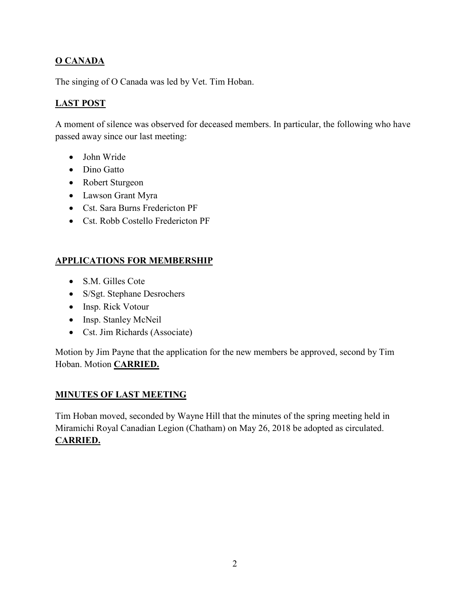# **O CANADA**

The singing of O Canada was led by Vet. Tim Hoban.

# **LAST POST**

A moment of silence was observed for deceased members. In particular, the following who have passed away since our last meeting:

- John Wride
- Dino Gatto
- Robert Sturgeon
- Lawson Grant Myra
- Cst. Sara Burns Fredericton PF
- Cst. Robb Costello Fredericton PF

## **APPLICATIONS FOR MEMBERSHIP**

- S.M. Gilles Cote
- S/Sgt. Stephane Desrochers
- Insp. Rick Votour
- Insp. Stanley McNeil
- Cst. Jim Richards (Associate)

Motion by Jim Payne that the application for the new members be approved, second by Tim Hoban. Motion **CARRIED.**

## **MINUTES OF LAST MEETING**

Tim Hoban moved, seconded by Wayne Hill that the minutes of the spring meeting held in Miramichi Royal Canadian Legion (Chatham) on May 26, 2018 be adopted as circulated. **CARRIED.**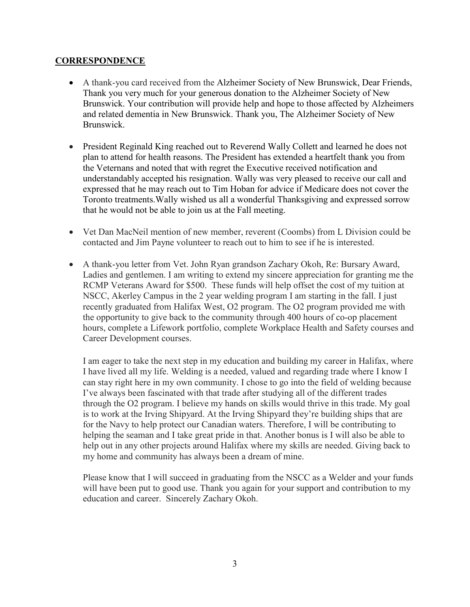### **CORRESPONDENCE**

- A thank-you card received from the Alzheimer Society of New Brunswick, Dear Friends, Thank you very much for your generous donation to the Alzheimer Society of New Brunswick. Your contribution will provide help and hope to those affected by Alzheimers and related dementia in New Brunswick. Thank you, The Alzheimer Society of New Brunswick.
- President Reginald King reached out to Reverend Wally Collett and learned he does not plan to attend for health reasons. The President has extended a heartfelt thank you from the Veternans and noted that with regret the Executive received notification and understandably accepted his resignation. Wally was very pleased to receive our call and expressed that he may reach out to Tim Hoban for advice if Medicare does not cover the Toronto treatments.Wally wished us all a wonderful Thanksgiving and expressed sorrow that he would not be able to join us at the Fall meeting.
- Vet Dan MacNeil mention of new member, reverent (Coombs) from L Division could be contacted and Jim Payne volunteer to reach out to him to see if he is interested.
- A thank-you letter from Vet. John Ryan grandson Zachary Okoh, Re: Bursary Award, Ladies and gentlemen. I am writing to extend my sincere appreciation for granting me the RCMP Veterans Award for \$500. These funds will help offset the cost of my tuition at NSCC, Akerley Campus in the 2 year welding program I am starting in the fall. I just recently graduated from Halifax West, O2 program. The O2 program provided me with the opportunity to give back to the community through 400 hours of co-op placement hours, complete a Lifework portfolio, complete Workplace Health and Safety courses and Career Development courses.

I am eager to take the next step in my education and building my career in Halifax, where I have lived all my life. Welding is a needed, valued and regarding trade where I know I can stay right here in my own community. I chose to go into the field of welding because I've always been fascinated with that trade after studying all of the different trades through the O2 program. I believe my hands on skills would thrive in this trade. My goal is to work at the Irving Shipyard. At the Irving Shipyard they're building ships that are for the Navy to help protect our Canadian waters. Therefore, I will be contributing to helping the seaman and I take great pride in that. Another bonus is I will also be able to help out in any other projects around Halifax where my skills are needed. Giving back to my home and community has always been a dream of mine.

Please know that I will succeed in graduating from the NSCC as a Welder and your funds will have been put to good use. Thank you again for your support and contribution to my education and career. Sincerely Zachary Okoh.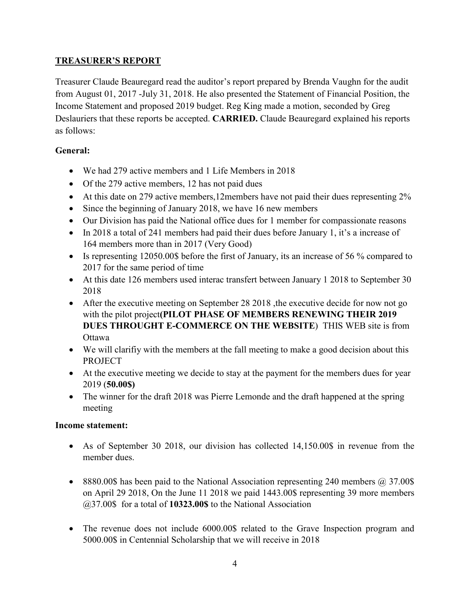## **TREASURER'S REPORT**

Treasurer Claude Beauregard read the auditor's report prepared by Brenda Vaughn for the audit from August 01, 2017 -July 31, 2018. He also presented the Statement of Financial Position, the Income Statement and proposed 2019 budget. Reg King made a motion, seconded by Greg Deslauriers that these reports be accepted. **CARRIED.** Claude Beauregard explained his reports as follows:

## **General:**

- We had 279 active members and 1 Life Members in 2018
- Of the 279 active members, 12 has not paid dues
- At this date on 279 active members,12members have not paid their dues representing 2%
- Since the beginning of January 2018, we have 16 new members
- Our Division has paid the National office dues for 1 member for compassionate reasons
- In 2018 a total of 241 members had paid their dues before January 1, it's a increase of 164 members more than in 2017 (Very Good)
- Is representing 12050.00\$ before the first of January, its an increase of 56 % compared to 2017 for the same period of time
- At this date 126 members used interac transfert between January 1 2018 to September 30 2018
- After the executive meeting on September 28 2018, the executive decide for now not go with the pilot project**(PILOT PHASE OF MEMBERS RENEWING THEIR 2019 DUES THROUGHT E-COMMERCE ON THE WEBSITE**) THIS WEB site is from Ottawa
- We will clarifiy with the members at the fall meeting to make a good decision about this PROJECT
- At the executive meeting we decide to stay at the payment for the members dues for year 2019 (**50.00\$)**
- The winner for the draft 2018 was Pierre Lemonde and the draft happened at the spring meeting

## **Income statement:**

- As of September 30 2018, our division has collected 14,150.00\$ in revenue from the member dues.
- 8880.00\$ has been paid to the National Association representing 240 members @ 37.00\$ on April 29 2018, On the June 11 2018 we paid 1443.00\$ representing 39 more members @37.00\$ for a total of **10323.00\$** to the National Association
- The revenue does not include 6000.00\$ related to the Grave Inspection program and 5000.00\$ in Centennial Scholarship that we will receive in 2018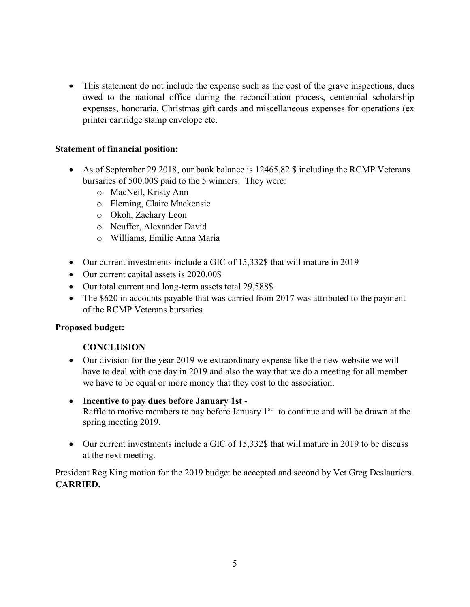• This statement do not include the expense such as the cost of the grave inspections, dues owed to the national office during the reconciliation process, centennial scholarship expenses, honoraria, Christmas gift cards and miscellaneous expenses for operations (ex printer cartridge stamp envelope etc.

### **Statement of financial position:**

- As of September 29 2018, our bank balance is 12465.82 \$ including the RCMP Veterans bursaries of 500.00\$ paid to the 5 winners. They were:
	- o MacNeil, Kristy Ann
	- o Fleming, Claire Mackensie
	- o Okoh, Zachary Leon
	- o Neuffer, Alexander David
	- o Williams, Emilie Anna Maria
- Our current investments include a GIC of 15,332\$ that will mature in 2019
- Our current capital assets is 2020.00\$
- Our total current and long-term assets total 29,588\$
- The \$620 in accounts payable that was carried from 2017 was attributed to the payment of the RCMP Veterans bursaries

## **Proposed budget:**

## **CONCLUSION**

- Our division for the year 2019 we extraordinary expense like the new website we will have to deal with one day in 2019 and also the way that we do a meeting for all member we have to be equal or more money that they cost to the association.
- **Incentive to pay dues before January 1st** Raffle to motive members to pay before January  $1<sup>st</sup>$  to continue and will be drawn at the spring meeting 2019.
- Our current investments include a GIC of 15,332\$ that will mature in 2019 to be discuss at the next meeting.

President Reg King motion for the 2019 budget be accepted and second by Vet Greg Deslauriers. **CARRIED.**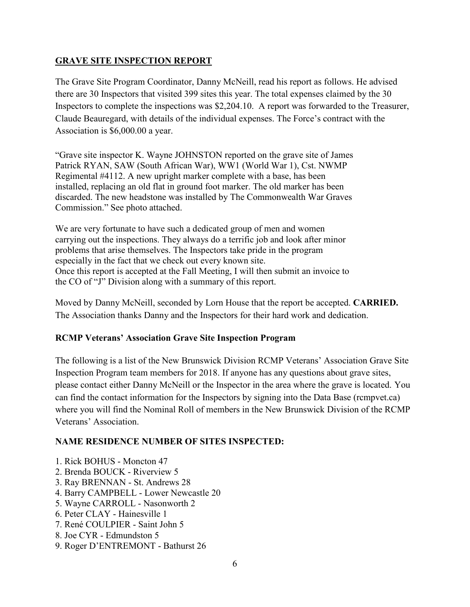## **GRAVE SITE INSPECTION REPORT**

The Grave Site Program Coordinator, Danny McNeill, read his report as follows. He advised there are 30 Inspectors that visited 399 sites this year. The total expenses claimed by the 30 Inspectors to complete the inspections was \$2,204.10. A report was forwarded to the Treasurer, Claude Beauregard, with details of the individual expenses. The Force's contract with the Association is \$6,000.00 a year.

"Grave site inspector K. Wayne JOHNSTON reported on the grave site of James Patrick RYAN, SAW (South African War), WW1 (World War 1), Cst. NWMP Regimental #4112. A new upright marker complete with a base, has been installed, replacing an old flat in ground foot marker. The old marker has been discarded. The new headstone was installed by The Commonwealth War Graves Commission." See photo attached.

We are very fortunate to have such a dedicated group of men and women carrying out the inspections. They always do a terrific job and look after minor problems that arise themselves. The Inspectors take pride in the program especially in the fact that we check out every known site. Once this report is accepted at the Fall Meeting, I will then submit an invoice to the CO of "J" Division along with a summary of this report.

Moved by Danny McNeill, seconded by Lorn House that the report be accepted. **CARRIED.** The Association thanks Danny and the Inspectors for their hard work and dedication.

## **RCMP Veterans' Association Grave Site Inspection Program**

The following is a list of the New Brunswick Division RCMP Veterans' Association Grave Site Inspection Program team members for 2018. If anyone has any questions about grave sites, please contact either Danny McNeill or the Inspector in the area where the grave is located. You can find the contact information for the Inspectors by signing into the Data Base (rcmpvet.ca) where you will find the Nominal Roll of members in the New Brunswick Division of the RCMP Veterans' Association.

## **NAME RESIDENCE NUMBER OF SITES INSPECTED:**

- 1. Rick BOHUS Moncton 47
- 2. Brenda BOUCK Riverview 5
- 3. Ray BRENNAN St. Andrews 28
- 4. Barry CAMPBELL Lower Newcastle 20
- 5. Wayne CARROLL Nasonworth 2
- 6. Peter CLAY Hainesville 1
- 7. René COULPIER Saint John 5
- 8. Joe CYR Edmundston 5
- 9. Roger D'ENTREMONT Bathurst 26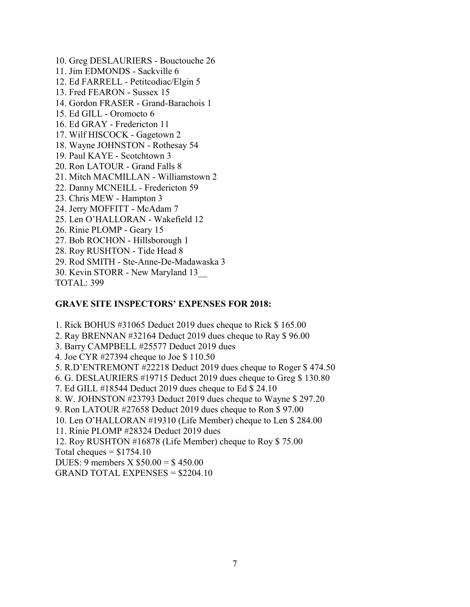- 10. Greg DESLAURIERS Bouctouche 26
- 11. Jim EDMONDS Sackville 6
- 12. Ed FARRELL Petitcodiac/Elgin 5
- 13. Fred FEARON Sussex 15
- 14. Gordon FRASER Grand-Barachois 1
- 15. Ed GILL Oromocto 6
- 16. Ed GRAY Fredericton 11
- 17. Wilf HISCOCK Gagetown 2
- 18. Wayne JOHNSTON Rothesay 54
- 19. Paul KAYE Scotchtown 3
- 20. Ron LATOUR Grand Falls 8
- 21. Mitch MACMILLAN Williamstown 2
- 22. Danny MCNEILL Fredericton 59
- 23. Chris MEW Hampton 3
- 24. Jerry MOFFITT McAdam 7
- 25. Len O'HALLORAN Wakefield 12
- 26. Rinie PLOMP Geary 15
- 27. Bob ROCHON Hillsborough 1
- 28. Roy RUSHTON Tide Head 8
- 29. Rod SMITH Ste-Anne-De-Madawaska 3
- 30. Kevin STORR New Maryland 13\_\_

TOTAL: 399

## **GRAVE SITE INSPECTORS' EXPENSES FOR 2018:**

- 1. Rick BOHUS #31065 Deduct 2019 dues cheque to Rick \$ 165.00
- 2. Ray BRENNAN #32164 Deduct 2019 dues cheque to Ray \$ 96.00
- 3. Barry CAMPBELL #25577 Deduct 2019 dues
- 4. Joe CYR #27394 cheque to Joe \$ 110.50
- 5. R.D'ENTREMONT #22218 Deduct 2019 dues cheque to Roger \$ 474.50
- 6. G. DESLAURIERS #19715 Deduct 2019 dues cheque to Greg \$ 130.80
- 7. Ed GILL #18544 Deduct 2019 dues cheque to Ed \$ 24.10
- 8. W. JOHNSTON #23793 Deduct 2019 dues cheque to Wayne \$ 297.20
- 9. Ron LATOUR #27658 Deduct 2019 dues cheque to Ron \$ 97.00
- 10. Len O'HALLORAN #19310 (Life Member) cheque to Len \$ 284.00
- 11. Rinie PLOMP #28324 Deduct 2019 dues
- 12. Roy RUSHTON #16878 (Life Member) cheque to Roy \$ 75.00

Total cheques  $= $1754.10$ 

DUES: 9 members X \$50.00 = \$ 450.00

GRAND TOTAL EXPENSES = \$2204.10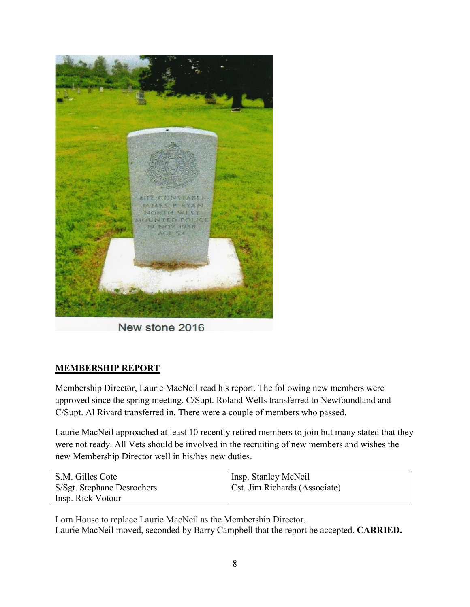

New stone 2016

# **MEMBERSHIP REPORT**

Membership Director, Laurie MacNeil read his report. The following new members were approved since the spring meeting. C/Supt. Roland Wells transferred to Newfoundland and C/Supt. Al Rivard transferred in. There were a couple of members who passed.

Laurie MacNeil approached at least 10 recently retired members to join but many stated that they were not ready. All Vets should be involved in the recruiting of new members and wishes the new Membership Director well in his/hes new duties.

| S.M. Gilles Cote           | Insp. Stanley McNeil          |
|----------------------------|-------------------------------|
| S/Sgt. Stephane Desrochers | Cst. Jim Richards (Associate) |
| Insp. Rick Votour          |                               |

Lorn House to replace Laurie MacNeil as the Membership Director. Laurie MacNeil moved, seconded by Barry Campbell that the report be accepted. **CARRIED.**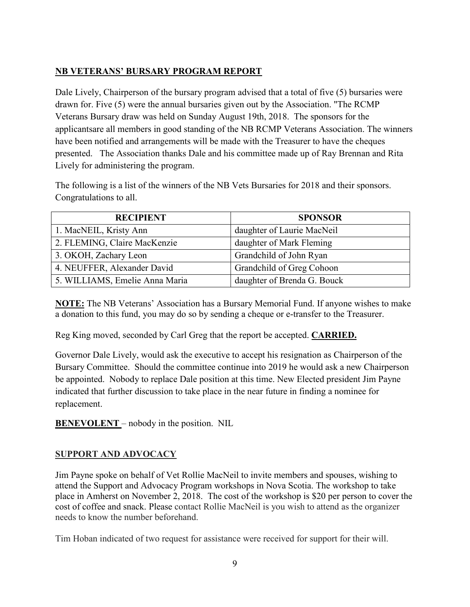## **NB VETERANS' BURSARY PROGRAM REPORT**

Dale Lively, Chairperson of the bursary program advised that a total of five (5) bursaries were drawn for. Five (5) were the annual bursaries given out by the Association. "The RCMP Veterans Bursary draw was held on Sunday August 19th, 2018. The sponsors for the applicantsare all members in good standing of the NB RCMP Veterans Association. The winners have been notified and arrangements will be made with the Treasurer to have the cheques presented. The Association thanks Dale and his committee made up of Ray Brennan and Rita Lively for administering the program.

The following is a list of the winners of the NB Vets Bursaries for 2018 and their sponsors. Congratulations to all.

| <b>RECIPIENT</b>               | <b>SPONSOR</b>              |
|--------------------------------|-----------------------------|
| 1. MacNEIL, Kristy Ann         | daughter of Laurie MacNeil  |
| 2. FLEMING, Claire MacKenzie   | daughter of Mark Fleming    |
| 3. OKOH, Zachary Leon          | Grandchild of John Ryan     |
| 4. NEUFFER, Alexander David    | Grandchild of Greg Cohoon   |
| 5. WILLIAMS, Emelie Anna Maria | daughter of Brenda G. Bouck |

**NOTE:** The NB Veterans' Association has a Bursary Memorial Fund. If anyone wishes to make a donation to this fund, you may do so by sending a cheque or e-transfer to the Treasurer.

Reg King moved, seconded by Carl Greg that the report be accepted. **CARRIED.**

Governor Dale Lively, would ask the executive to accept his resignation as Chairperson of the Bursary Committee. Should the committee continue into 2019 he would ask a new Chairperson be appointed. Nobody to replace Dale position at this time. New Elected president Jim Payne indicated that further discussion to take place in the near future in finding a nominee for replacement.

**BENEVOLENT** – nobody in the position. NIL

## **SUPPORT AND ADVOCACY**

Jim Payne spoke on behalf of Vet Rollie MacNeil to invite members and spouses, wishing to attend the Support and Advocacy Program workshops in Nova Scotia. The workshop to take place in Amherst on November 2, 2018. The cost of the workshop is \$20 per person to cover the cost of coffee and snack. Please contact Rollie MacNeil is you wish to attend as the organizer needs to know the number beforehand.

Tim Hoban indicated of two request for assistance were received for support for their will.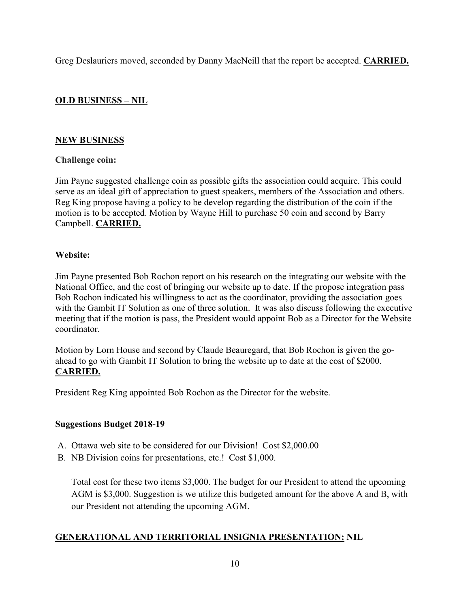Greg Deslauriers moved, seconded by Danny MacNeill that the report be accepted. **CARRIED.**

## **OLD BUSINESS – NIL**

## **NEW BUSINESS**

### **Challenge coin:**

Jim Payne suggested challenge coin as possible gifts the association could acquire. This could serve as an ideal gift of appreciation to guest speakers, members of the Association and others. Reg King propose having a policy to be develop regarding the distribution of the coin if the motion is to be accepted. Motion by Wayne Hill to purchase 50 coin and second by Barry Campbell. **CARRIED.**

### **Website:**

Jim Payne presented Bob Rochon report on his research on the integrating our website with the National Office, and the cost of bringing our website up to date. If the propose integration pass Bob Rochon indicated his willingness to act as the coordinator, providing the association goes with the Gambit IT Solution as one of three solution. It was also discuss following the executive meeting that if the motion is pass, the President would appoint Bob as a Director for the Website coordinator.

Motion by Lorn House and second by Claude Beauregard, that Bob Rochon is given the goahead to go with Gambit IT Solution to bring the website up to date at the cost of \$2000. **CARRIED.**

President Reg King appointed Bob Rochon as the Director for the website.

#### **Suggestions Budget 2018-19**

- A. Ottawa web site to be considered for our Division! Cost \$2,000.00
- B. NB Division coins for presentations, etc.! Cost \$1,000.

Total cost for these two items \$3,000. The budget for our President to attend the upcoming AGM is \$3,000. Suggestion is we utilize this budgeted amount for the above A and B, with our President not attending the upcoming AGM.

## **GENERATIONAL AND TERRITORIAL INSIGNIA PRESENTATION: NIL**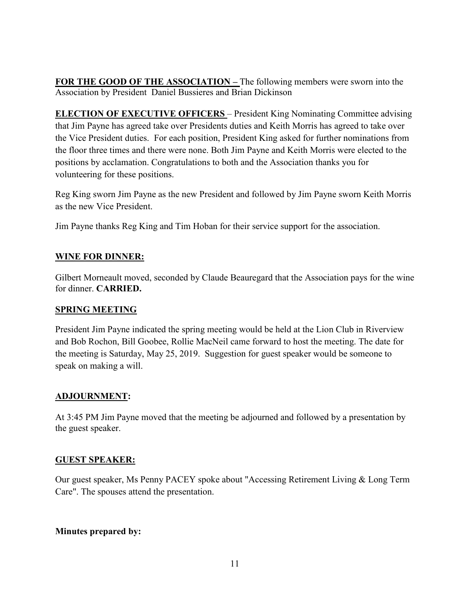**FOR THE GOOD OF THE ASSOCIATION –** The following members were sworn into the Association by President Daniel Bussieres and Brian Dickinson

**ELECTION OF EXECUTIVE OFFICERS** – President King Nominating Committee advising that Jim Payne has agreed take over Presidents duties and Keith Morris has agreed to take over the Vice President duties. For each position, President King asked for further nominations from the floor three times and there were none. Both Jim Payne and Keith Morris were elected to the positions by acclamation. Congratulations to both and the Association thanks you for volunteering for these positions.

Reg King sworn Jim Payne as the new President and followed by Jim Payne sworn Keith Morris as the new Vice President.

Jim Payne thanks Reg King and Tim Hoban for their service support for the association.

## **WINE FOR DINNER:**

Gilbert Morneault moved, seconded by Claude Beauregard that the Association pays for the wine for dinner. **CARRIED.**

## **SPRING MEETING**

President Jim Payne indicated the spring meeting would be held at the Lion Club in Riverview and Bob Rochon, Bill Goobee, Rollie MacNeil came forward to host the meeting. The date for the meeting is Saturday, May 25, 2019. Suggestion for guest speaker would be someone to speak on making a will.

## **ADJOURNMENT:**

At 3:45 PM Jim Payne moved that the meeting be adjourned and followed by a presentation by the guest speaker.

## **GUEST SPEAKER:**

Our guest speaker, Ms Penny PACEY spoke about "Accessing Retirement Living & Long Term Care". The spouses attend the presentation.

## **Minutes prepared by:**